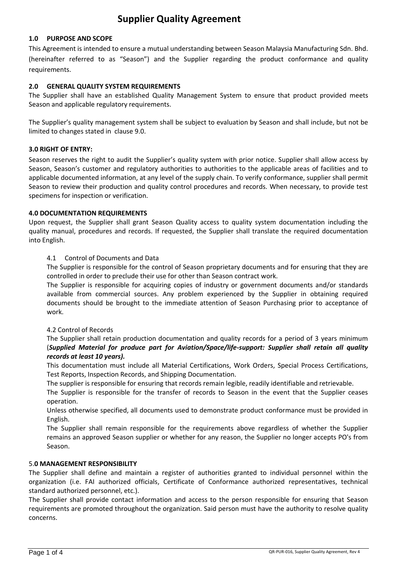# **Supplier Quality Agreement**

# **1.0 PURPOSE AND SCOPE**

This Agreement is intended to ensure a mutual understanding between Season Malaysia Manufacturing Sdn. Bhd. (hereinafter referred to as "Season") and the Supplier regarding the product conformance and quality requirements.

# **2.0 GENERAL QUALITY SYSTEM REQUIREMENTS**

The Supplier shall have an established Quality Management System to ensure that product provided meets Season and applicable regulatory requirements.

The Supplier's quality management system shall be subject to evaluation by Season and shall include, but not be limited to changes stated in clause 9.0.

# **3.0 RIGHT OF ENTRY:**

Season reserves the right to audit the Supplier's quality system with prior notice. Supplier shall allow access by Season, Season's customer and regulatory authorities to authorities to the applicable areas of facilities and to applicable documented information, at any level of the supply chain. To verify conformance, supplier shall permit Season to review their production and quality control procedures and records. When necessary, to provide test specimens for inspection or verification.

## **4.0 DOCUMENTATION REQUIREMENTS**

Upon request, the Supplier shall grant Season Quality access to quality system documentation including the quality manual, procedures and records. If requested, the Supplier shall translate the required documentation into English.

# 4.1 Control of Documents and Data

The Supplier is responsible for the control of Season proprietary documents and for ensuring that they are controlled in order to preclude their use for other than Season contract work.

The Supplier is responsible for acquiring copies of industry or government documents and/or standards available from commercial sources. Any problem experienced by the Supplier in obtaining required documents should be brought to the immediate attention of Season Purchasing prior to acceptance of work.

## 4.2 Control of Records

The Supplier shall retain production documentation and quality records for a period of 3 years minimum (*Supplied Material for produce part for Aviation/Space/life-support: Supplier shall retain all quality records at least 10 years).*

This documentation must include all Material Certifications, Work Orders, Special Process Certifications, Test Reports, Inspection Records, and Shipping Documentation.

The supplier is responsible for ensuring that records remain legible, readily identifiable and retrievable.

The Supplier is responsible for the transfer of records to Season in the event that the Supplier ceases operation.

Unless otherwise specified, all documents used to demonstrate product conformance must be provided in English.

The Supplier shall remain responsible for the requirements above regardless of whether the Supplier remains an approved Season supplier or whether for any reason, the Supplier no longer accepts PO's from Season.

## 5.**0 MANAGEMENT RESPONSIBILITY**

The Supplier shall define and maintain a register of authorities granted to individual personnel within the organization (i.e. FAI authorized officials, Certificate of Conformance authorized representatives, technical standard authorized personnel, etc.).

The Supplier shall provide contact information and access to the person responsible for ensuring that Season requirements are promoted throughout the organization. Said person must have the authority to resolve quality concerns.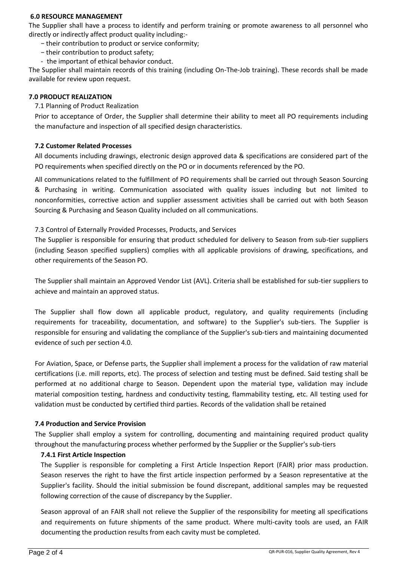## **6.0 RESOURCE MANAGEMENT**

The Supplier shall have a process to identify and perform training or promote awareness to all personnel who directly or indirectly affect product quality including:-

- − their contribution to product or service conformity;
- − their contribution to product safety;
- the important of ethical behavior conduct.

The Supplier shall maintain records of this training (including On-The-Job training). These records shall be made available for review upon request.

# **7.0 PRODUCT REALIZATION**

7.1 Planning of Product Realization

Prior to acceptance of Order, the Supplier shall determine their ability to meet all PO requirements including the manufacture and inspection of all specified design characteristics.

# **7.2 Customer Related Processes**

All documents including drawings, electronic design approved data & specifications are considered part of the PO requirements when specified directly on the PO or in documents referenced by the PO.

All communications related to the fulfillment of PO requirements shall be carried out through Season Sourcing & Purchasing in writing. Communication associated with quality issues including but not limited to nonconformities, corrective action and supplier assessment activities shall be carried out with both Season Sourcing & Purchasing and Season Quality included on all communications.

# 7.3 Control of Externally Provided Processes, Products, and Services

The Supplier is responsible for ensuring that product scheduled for delivery to Season from sub-tier suppliers (including Season specified suppliers) complies with all applicable provisions of drawing, specifications, and other requirements of the Season PO.

The Supplier shall maintain an Approved Vendor List (AVL). Criteria shall be established for sub-tier suppliers to achieve and maintain an approved status.

The Supplier shall flow down all applicable product, regulatory, and quality requirements (including requirements for traceability, documentation, and software) to the Supplier's sub-tiers. The Supplier is responsible for ensuring and validating the compliance of the Supplier's sub-tiers and maintaining documented evidence of such per section 4.0.

For Aviation, Space, or Defense parts, the Supplier shall implement a process for the validation of raw material certifications (i.e. mill reports, etc). The process of selection and testing must be defined. Said testing shall be performed at no additional charge to Season. Dependent upon the material type, validation may include material composition testing, hardness and conductivity testing, flammability testing, etc. All testing used for validation must be conducted by certified third parties. Records of the validation shall be retained

## **7.4 Production and Service Provision**

The Supplier shall employ a system for controlling, documenting and maintaining required product quality throughout the manufacturing process whether performed by the Supplier or the Supplier's sub-tiers

# **7.4.1 First Article Inspection**

The Supplier is responsible for completing a First Article Inspection Report (FAIR) prior mass production. Season reserves the right to have the first article inspection performed by a Season representative at the Supplier's facility. Should the initial submission be found discrepant, additional samples may be requested following correction of the cause of discrepancy by the Supplier.

Season approval of an FAIR shall not relieve the Supplier of the responsibility for meeting all specifications and requirements on future shipments of the same product. Where multi-cavity tools are used, an FAIR documenting the production results from each cavity must be completed.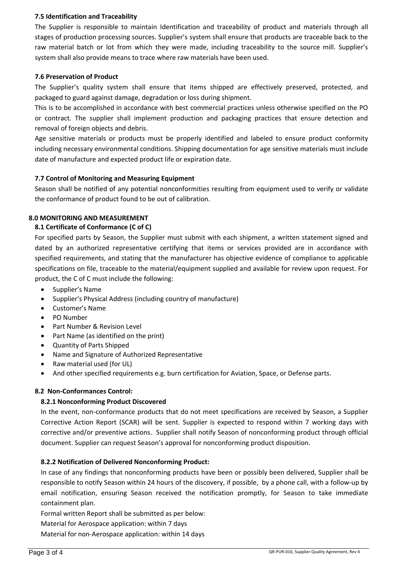# **7.5 Identification and Traceability**

The Supplier is responsible to maintain Identification and traceability of product and materials through all stages of production processing sources. Supplier's system shall ensure that products are traceable back to the raw material batch or lot from which they were made, including traceability to the source mill. Supplier's system shall also provide means to trace where raw materials have been used.

# **7.6 Preservation of Product**

The Supplier's quality system shall ensure that items shipped are effectively preserved, protected, and packaged to guard against damage, degradation or loss during shipment.

This is to be accomplished in accordance with best commercial practices unless otherwise specified on the PO or contract. The supplier shall implement production and packaging practices that ensure detection and removal of foreign objects and debris.

Age sensitive materials or products must be properly identified and labeled to ensure product conformity including necessary environmental conditions. Shipping documentation for age sensitive materials must include date of manufacture and expected product life or expiration date.

# **7.7 Control of Monitoring and Measuring Equipment**

Season shall be notified of any potential nonconformities resulting from equipment used to verify or validate the conformance of product found to be out of calibration.

# **8.0 MONITORING AND MEASUREMENT**

# **8.1 Certificate of Conformance (C of C)**

For specified parts by Season, the Supplier must submit with each shipment, a written statement signed and dated by an authorized representative certifying that items or services provided are in accordance with specified requirements, and stating that the manufacturer has objective evidence of compliance to applicable specifications on file, traceable to the material/equipment supplied and available for review upon request. For product, the C of C must include the following:

- Supplier's Name
- Supplier's Physical Address (including country of manufacture)
- Customer's Name
- PO Number
- Part Number & Revision Level
- Part Name (as identified on the print)
- Quantity of Parts Shipped
- Name and Signature of Authorized Representative
- Raw material used (for UL)
- And other specified requirements e.g. burn certification for Aviation, Space, or Defense parts.

# **8.2 Non-Conformances Control:**

# **8.2.1 Nonconforming Product Discovered**

In the event, non-conformance products that do not meet specifications are received by Season, a Supplier Corrective Action Report (SCAR) will be sent. Supplier is expected to respond within 7 working days with corrective and/or preventive actions. Supplier shall notify Season of nonconforming product through official document. Supplier can request Season's approval for nonconforming product disposition.

# **8.2.2 Notification of Delivered Nonconforming Product:**

In case of any findings that nonconforming products have been or possibly been delivered, Supplier shall be responsible to notify Season within 24 hours of the discovery, if possible, by a phone call, with a follow-up by email notification, ensuring Season received the notification promptly, for Season to take immediate containment plan.

Formal written Report shall be submitted as per below:

Material for Aerospace application: within 7 days

Material for non-Aerospace application: within 14 days